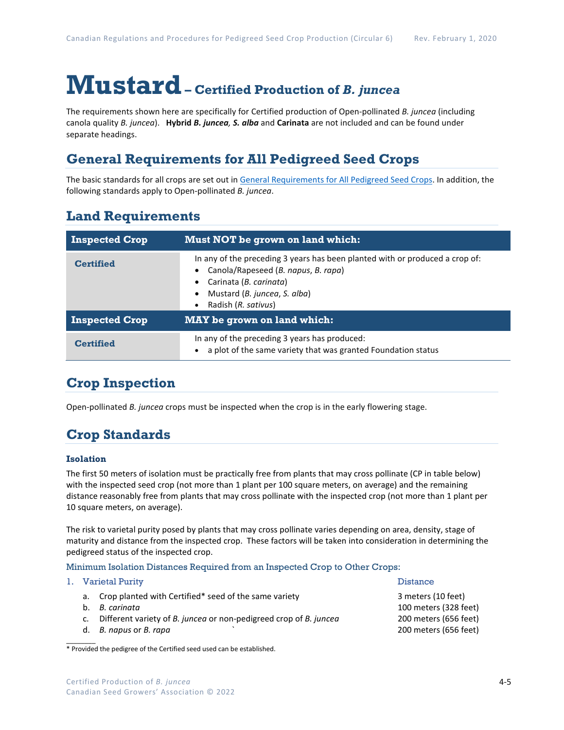# **Mustard– Certified Production of** *B. juncea*

The requirements shown here are specifically for Certified production of Open-pollinated *B. juncea* (including canola quality *B. juncea*).**Hybrid** *B. juncea, S. alba* and **Carinata** are not included and can be found under separate headings.

### **General Requirements for All Pedigreed Seed Crops**

The basic standards for all crops are set out i[n General Requirements for All Pedigreed Seed](https://seedgrowers.ca/wp-content/uploads/2020/01/GENERAL-REQUIREMENTS-ALL-CROPS_EN.pdf) Crops. In addition, the following standards apply to Open-pollinated *B. juncea*.

### **Land Requirements**

| <b>Inspected Crop</b> | Must NOT be grown on land which:                                                                                                                                                                     |  |  |  |
|-----------------------|------------------------------------------------------------------------------------------------------------------------------------------------------------------------------------------------------|--|--|--|
| <b>Certified</b>      | In any of the preceding 3 years has been planted with or produced a crop of:<br>Canola/Rapeseed (B. napus, B. rapa)<br>Carinata (B. carinata)<br>Mustard (B. juncea, S. alba)<br>Radish (R. sativus) |  |  |  |
| <b>Inspected Crop</b> | <b>MAY</b> be grown on land which:                                                                                                                                                                   |  |  |  |
| <b>Certified</b>      | In any of the preceding 3 years has produced:<br>a plot of the same variety that was granted Foundation status                                                                                       |  |  |  |

### **Crop Inspection**

Open-pollinated *B. juncea* crops must be inspected when the crop is in the early flowering stage.

## **Crop Standards**

### **Isolation**

The first 50 meters of isolation must be practically free from plants that may cross pollinate (CP in table below) with the inspected seed crop (not more than 1 plant per 100 square meters, on average) and the remaining distance reasonably free from plants that may cross pollinate with the inspected crop (not more than 1 plant per 10 square meters, on average).

The risk to varietal purity posed by plants that may cross pollinate varies depending on area, density, stage of maturity and distance from the inspected crop. These factors will be taken into consideration in determining the pedigreed status of the inspected crop.

Minimum Isolation Distances Required from an Inspected Crop to Other Crops:

|    | 1. Varietal Purity                                                   | <b>Distance</b>       |
|----|----------------------------------------------------------------------|-----------------------|
|    | a. Crop planted with Certified* seed of the same variety             | 3 meters (10 feet)    |
| b. | B. carinata                                                          | 100 meters (328 feet) |
|    | c. Different variety of B. juncea or non-pedigreed crop of B. juncea | 200 meters (656 feet) |
|    | d. B. napus or B. rapa                                               | 200 meters (656 feet) |

 $\mathcal{L}$ \* Provided the pedigree of the Certified seed used can be established.